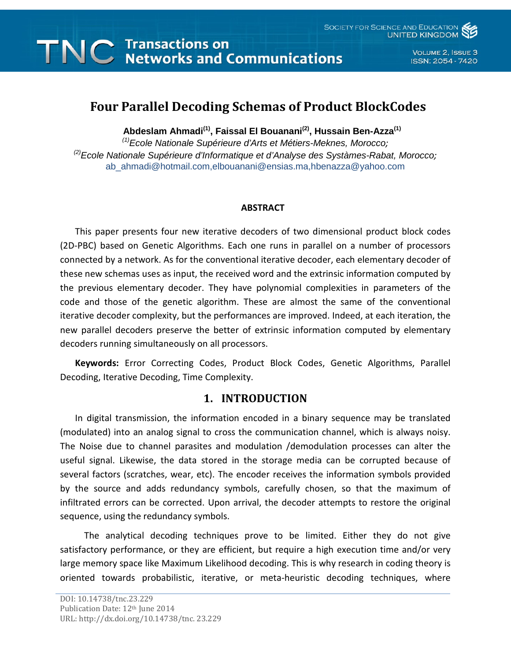# **TNC** Transactions on<br>TNC Networks and Communications

VOLUME 2, ISSUE 3 ISSN: 2054 - 7420

# **Four Parallel Decoding Schemas of Product BlockCodes**

**Abdeslam Ahmadi(1), Faissal El Bouanani(2), Hussain Ben-Azza(1)**

*(1)Ecole Nationale Supérieure d'Arts et Métiers-Meknes, Morocco; (2)Ecole Nationale Supérieure d'Informatique et d'Analyse des Systàmes-Rabat, Morocco;* ab\_ahmadi@hotmail.com,elbouanani@ensias.ma,hbenazza@yahoo.com

#### **ABSTRACT**

This paper presents four new iterative decoders of two dimensional product block codes (2D-PBC) based on Genetic Algorithms. Each one runs in parallel on a number of processors connected by a network. As for the conventional iterative decoder, each elementary decoder of these new schemas uses as input, the received word and the extrinsic information computed by the previous elementary decoder. They have polynomial complexities in parameters of the code and those of the genetic algorithm. These are almost the same of the conventional iterative decoder complexity, but the performances are improved. Indeed, at each iteration, the new parallel decoders preserve the better of extrinsic information computed by elementary decoders running simultaneously on all processors.

**Keywords:** Error Correcting Codes, Product Block Codes, Genetic Algorithms, Parallel Decoding, Iterative Decoding, Time Complexity.

# **1. INTRODUCTION**

In digital transmission, the information encoded in a binary sequence may be translated (modulated) into an analog signal to cross the communication channel, which is always noisy. The Noise due to channel parasites and modulation /demodulation processes can alter the useful signal. Likewise, the data stored in the storage media can be corrupted because of several factors (scratches, wear, etc). The encoder receives the information symbols provided by the source and adds redundancy symbols, carefully chosen, so that the maximum of infiltrated errors can be corrected. Upon arrival, the decoder attempts to restore the original sequence, using the redundancy symbols.

 The analytical decoding techniques prove to be limited. Either they do not give satisfactory performance, or they are efficient, but require a high execution time and/or very large memory space like Maximum Likelihood decoding. This is why research in coding theory is oriented towards probabilistic, iterative, or meta-heuristic decoding techniques, where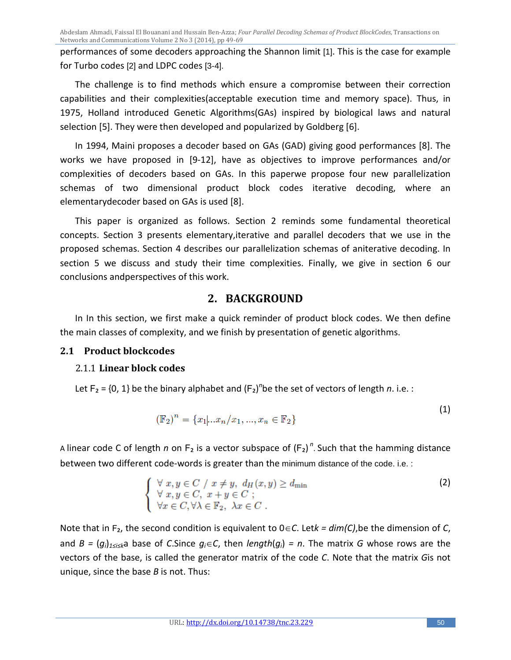Abdeslam Ahmadi, Faissal El Bouanani and Hussain Ben-Azza; *Four Parallel Decoding Schemas of Product BlockCodes,* Transactions on Networks and Communications Volume 2 No 3 (2014), pp 49-69

performances of some decoders approaching the Shannon limit [1]. This is the case for example for Turbo codes [2] and LDPC codes [3-4].

The challenge is to find methods which ensure a compromise between their correction capabilities and their complexities(acceptable execution time and memory space). Thus, in 1975, Holland introduced Genetic Algorithms(GAs) inspired by biological laws and natural selection [5]. They were then developed and popularized by Goldberg [6].

In 1994, Maini proposes a decoder based on GAs (GAD) giving good performances [8]. The works we have proposed in [9-12], have as objectives to improve performances and/or complexities of decoders based on GAs. In this paperwe propose four new parallelization schemas of two dimensional product block codes iterative decoding, where an elementarydecoder based on GAs is used [8].

This paper is organized as follows. Section 2 reminds some fundamental theoretical concepts. Section 3 presents elementary,iterative and parallel decoders that we use in the proposed schemas. Section 4 describes our parallelization schemas of aniterative decoding. In section 5 we discuss and study their time complexities. Finally, we give in section 6 our conclusions andperspectives of this work.

# **2. BACKGROUND**

In In this section, we first make a quick reminder of product block codes. We then define the main classes of complexity, and we finish by presentation of genetic algorithms.

# **2.1 Product blockcodes**

## 2.1.1 **Linear block codes**

Let  $F_2$  = {0, 1} be the binary alphabet and  $(F_2)^n$ be the set of vectors of length *n*. i.e. :

$$
(\mathbb{F}_2)^n = \{x_1 | ... x_n / x_1, ..., x_n \in \mathbb{F}_2\}
$$
 (1)

A linear code C of length *n* on  $F_2$  is a vector subspace of  $(F_2)^n$ . Such that the hamming distance between two different code-words is greater than the minimum distance of the code. i.e. :

$$
\begin{cases} \forall x, y \in C \;/\; x \neq y, \; d_H(x, y) \geq d_{\min} \\ \forall x, y \in C, \; x + y \in C \\ \forall x \in C, \forall \lambda \in \mathbb{F}_2, \; \lambda x \in C \; . \end{cases} \tag{2}
$$

Note that in F₂, the second condition is equivalent to 0∈*C*. Let*k = dim(C)*,be the dimension of *C*, and *B* =  $(g_i)_{1 \le i \le k}$ a base of *C*.Since  $g_i \in C$ , then *length* $(g_i)$  = *n*. The matrix *G* whose rows are the vectors of the base, is called the generator matrix of the code *C*. Note that the matrix *G*is not unique, since the base *B* is not. Thus: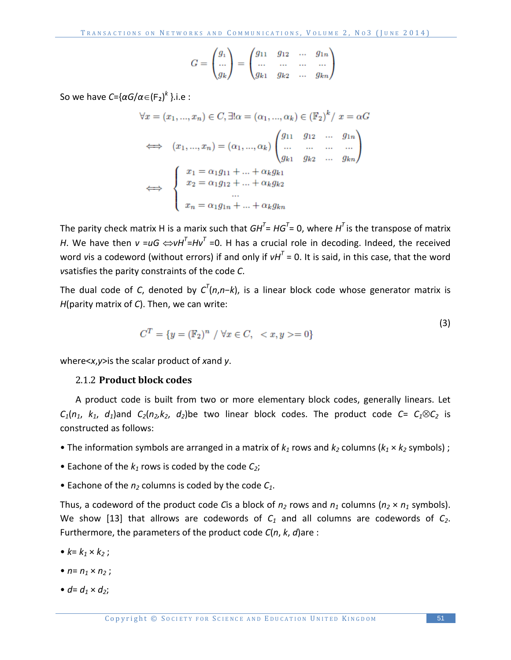$$
G = \begin{pmatrix} g_1 \\ \dots \\ g_k \end{pmatrix} = \begin{pmatrix} g_{11} & g_{12} & \dots & g_{1n} \\ \dots & \dots & \dots & \dots \\ g_{k1} & g_{k2} & \dots & g_{kn} \end{pmatrix}
$$

So we have *C*={*αG*/*α*∈(F₂)*<sup>k</sup>* }.i.e :

$$
\forall x = (x_1, ..., x_n) \in C, \exists! \alpha = (\alpha_1, ..., \alpha_k) \in (\mathbb{F}_2)^k / x = \alpha G
$$
  

$$
\iff (x_1, ..., x_n) = (\alpha_1, ..., \alpha_k) \begin{pmatrix} g_{11} & g_{12} & \dots & g_{1n} \\ \dots & \dots & \dots & \dots \\ g_{k1} & g_{k2} & \dots & g_{kn} \end{pmatrix}
$$
  

$$
\iff \begin{cases} x_1 = \alpha_1 g_{11} + ... + \alpha_k g_{k1} \\ x_2 = \alpha_1 g_{12} + ... + \alpha_k g_{k2} \\ \dots \\ x_n = \alpha_1 g_{1n} + ... + \alpha_k g_{kn} \end{cases}
$$

The parity check matrix H is a marix such that  $GH^T$ = *HG*<sup>T</sup>= 0, where  $H^T$  is the transpose of matrix *H*. We have then  $v = uG \Leftrightarrow vH^{T}=Hv^{T}=0$ . H has a crucial role in decoding. Indeed, the received word *v*is a codeword (without errors) if and only if  $vH<sup>T</sup> = 0$ . It is said, in this case, that the word *v*satisfies the parity constraints of the code *C*.

The dual code of *C*, denoted by  $C^T(n,n-k)$ , is a linear block code whose generator matrix is *H*(parity matrix of *C*). Then, we can write:

$$
C^{T} = \{ y = (\mathbb{F}_2)^n \ / \ \forall x \in C, \ =0 \}
$$

where<*x*,*y*>is the scalar product of *x*and *y*.

#### 2.1.2 **Product block codes**

A product code is built from two or more elementary block codes, generally linears. Let  $C_1(n_1, k_1, d_1)$ and  $C_2(n_2, k_2, d_2)$ be two linear block codes. The product code  $C = C_1 \otimes C_2$  is constructed as follows:

- The information symbols are arranged in a matrix of  $k_1$  rows and  $k_2$  columns ( $k_1 \times k_2$  symbols) ;
- Eachone of the  $k_1$  rows is coded by the code  $C_2$ ;
- Eachone of the  $n_2$  columns is coded by the code  $C_1$ .

Thus, a codeword of the product code *C*is a block of  $n_2$  rows and  $n_1$  columns ( $n_2 \times n_1$  symbols). We show [13] that allrows are codewords of  $C_1$  and all columns are codewords of  $C_2$ . Furthermore, the parameters of the product code *C*(*n*, *k*, *d*)are :

- $k = k_1 \times k_2$ ;
- $n = n_1 \times n_2$ ;
- $d = d_1 \times d_2$ ;

 $(3)$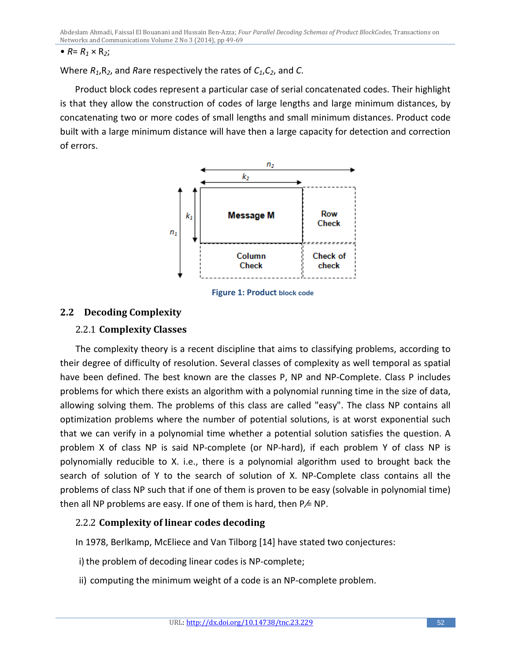•  $R = R_1 \times R_2$ ;

Where *R1*,R*2*, and *R*are respectively the rates of *C1*,*C2*, and *C*.

Product block codes represent a particular case of serial concatenated codes. Their highlight is that they allow the construction of codes of large lengths and large minimum distances, by concatenating two or more codes of small lengths and small minimum distances. Product code built with a large minimum distance will have then a large capacity for detection and correction of errors.



**Figure 1: Product block code**

## **2.2 Decoding Complexity**

## 2.2.1 **Complexity Classes**

The complexity theory is a recent discipline that aims to classifying problems, according to their degree of difficulty of resolution. Several classes of complexity as well temporal as spatial have been defined. The best known are the classes P, NP and NP-Complete. Class P includes problems for which there exists an algorithm with a polynomial running time in the size of data, allowing solving them. The problems of this class are called "easy". The class NP contains all optimization problems where the number of potential solutions, is at worst exponential such that we can verify in a polynomial time whether a potential solution satisfies the question. A problem X of class NP is said NP-complete (or NP-hard), if each problem Y of class NP is polynomially reducible to X. i.e., there is a polynomial algorithm used to brought back the search of solution of Y to the search of solution of X. NP-Complete class contains all the problems of class NP such that if one of them is proven to be easy (solvable in polynomial time) then all NP problems are easy. If one of them is hard, then  $P \neq NP$ .

# 2.2.2 **Complexity of linear codes decoding**

In 1978, Berlkamp, McEliece and Van Tilborg [14] have stated two conjectures:

i) the problem of decoding linear codes is NP-complete;

ii) computing the minimum weight of a code is an NP-complete problem.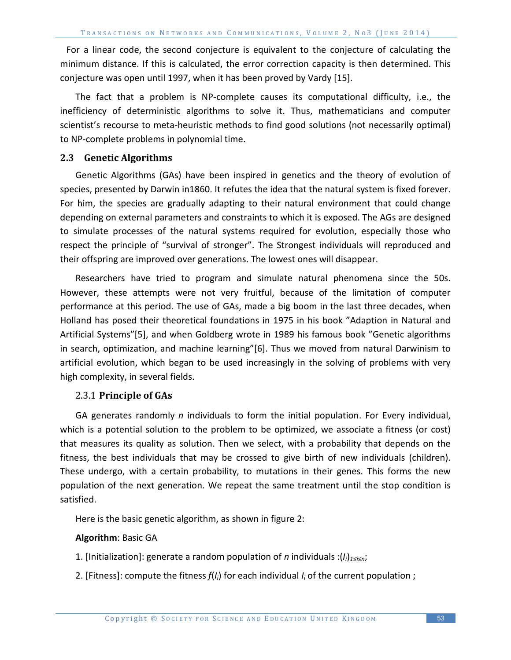For a linear code, the second conjecture is equivalent to the conjecture of calculating the minimum distance. If this is calculated, the error correction capacity is then determined. This conjecture was open until 1997, when it has been proved by Vardy [15].

The fact that a problem is NP-complete causes its computational difficulty, i.e., the inefficiency of deterministic algorithms to solve it. Thus, mathematicians and computer scientist's recourse to meta-heuristic methods to find good solutions (not necessarily optimal) to NP-complete problems in polynomial time.

#### **2.3 Genetic Algorithms**

Genetic Algorithms (GAs) have been inspired in genetics and the theory of evolution of species, presented by Darwin in1860. It refutes the idea that the natural system is fixed forever. For him, the species are gradually adapting to their natural environment that could change depending on external parameters and constraints to which it is exposed. The AGs are designed to simulate processes of the natural systems required for evolution, especially those who respect the principle of "survival of stronger". The Strongest individuals will reproduced and their offspring are improved over generations. The lowest ones will disappear.

Researchers have tried to program and simulate natural phenomena since the 50s. However, these attempts were not very fruitful, because of the limitation of computer performance at this period. The use of GAs, made a big boom in the last three decades, when Holland has posed their theoretical foundations in 1975 in his book "Adaption in Natural and Artificial Systems"[5], and when Goldberg wrote in 1989 his famous book "Genetic algorithms in search, optimization, and machine learning"[6]. Thus we moved from natural Darwinism to artificial evolution, which began to be used increasingly in the solving of problems with very high complexity, in several fields.

#### 2.3.1 **Principle of GAs**

GA generates randomly *n* individuals to form the initial population. For Every individual, which is a potential solution to the problem to be optimized, we associate a fitness (or cost) that measures its quality as solution. Then we select, with a probability that depends on the fitness, the best individuals that may be crossed to give birth of new individuals (children). These undergo, with a certain probability, to mutations in their genes. This forms the new population of the next generation. We repeat the same treatment until the stop condition is satisfied.

Here is the basic genetic algorithm, as shown in figure 2:

#### **Algorithm**: Basic GA

- 1. [Initialization]: generate a random population of *n* individuals :(*Ii*)*1≤i≤n*;
- 2. [Fitness]: compute the fitness *f*(*Ii*) for each individual *Ii* of the current population ;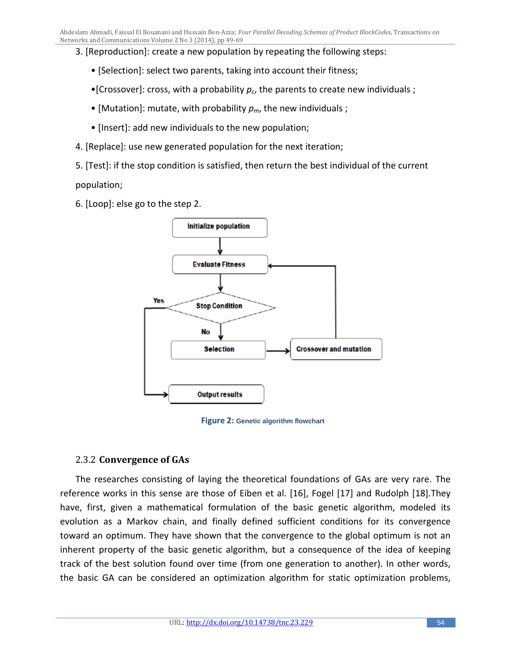3. [Reproduction]: create a new population by repeating the following steps:

- [Selection]: select two parents, taking into account their fitness;
- •[Crossover]: cross, with a probability  $p_c$ , the parents to create new individuals;
- [Mutation]: mutate, with probability  $p_m$ , the new individuals;
- [Insert]: add new individuals to the new population;
- 4. [Replace]: use new generated population for the next iteration;
- 5. [Test]: if the stop condition is satisfied, then return the best individual of the current

population;

6. [Loop]: else go to the step 2.



**Figure 2: Genetic algorithm flowchart**

## 2.3.2 **Convergence of GAs**

The researches consisting of laying the theoretical foundations of GAs are very rare. The reference works in this sense are those of Eiben et al. [16], Fogel [17] and Rudolph [18].They have, first, given a mathematical formulation of the basic genetic algorithm, modeled its evolution as a Markov chain, and finally defined sufficient conditions for its convergence toward an optimum. They have shown that the convergence to the global optimum is not an inherent property of the basic genetic algorithm, but a consequence of the idea of keeping track of the best solution found over time (from one generation to another). In other words, the basic GA can be considered an optimization algorithm for static optimization problems,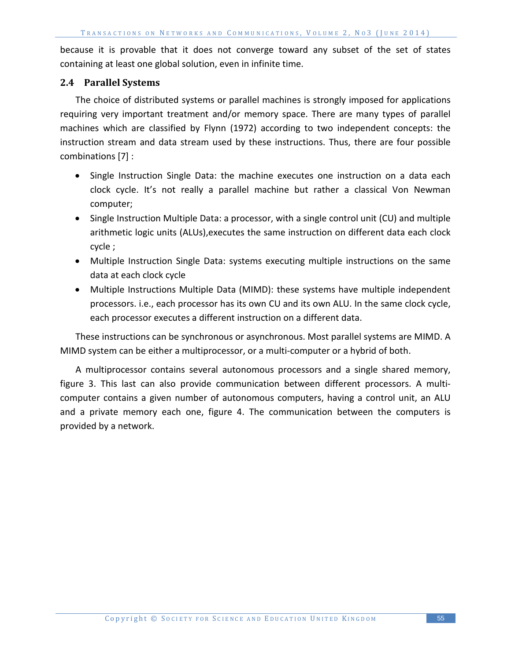because it is provable that it does not converge toward any subset of the set of states containing at least one global solution, even in infinite time.

#### **2.4 Parallel Systems**

The choice of distributed systems or parallel machines is strongly imposed for applications requiring very important treatment and/or memory space. There are many types of parallel machines which are classified by Flynn (1972) according to two independent concepts: the instruction stream and data stream used by these instructions. Thus, there are four possible combinations [7] :

- Single Instruction Single Data: the machine executes one instruction on a data each clock cycle. It's not really a parallel machine but rather a classical Von Newman computer;
- Single Instruction Multiple Data: a processor, with a single control unit (CU) and multiple arithmetic logic units (ALUs),executes the same instruction on different data each clock cycle ;
- Multiple Instruction Single Data: systems executing multiple instructions on the same data at each clock cycle
- Multiple Instructions Multiple Data (MIMD): these systems have multiple independent processors. i.e., each processor has its own CU and its own ALU. In the same clock cycle, each processor executes a different instruction on a different data.

These instructions can be synchronous or asynchronous. Most parallel systems are MIMD. A MIMD system can be either a multiprocessor, or a multi-computer or a hybrid of both.

A multiprocessor contains several autonomous processors and a single shared memory, figure 3. This last can also provide communication between different processors. A multicomputer contains a given number of autonomous computers, having a control unit, an ALU and a private memory each one, figure 4. The communication between the computers is provided by a network.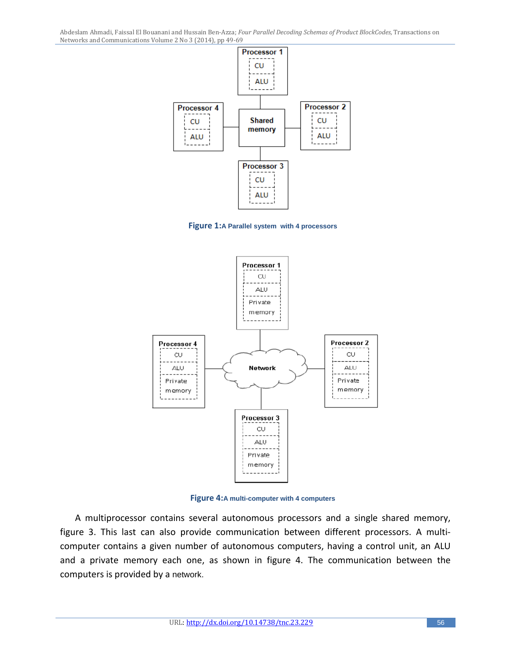Abdeslam Ahmadi, Faissal El Bouanani and Hussain Ben-Azza; *Four Parallel Decoding Schemas of Product BlockCodes,* Transactions on Networks and Communications Volume 2 No 3 (2014), pp 49-69



**Figure 1:A Parallel system with 4 processors**



**Figure 4:A multi-computer with 4 computers**

A multiprocessor contains several autonomous processors and a single shared memory, figure 3. This last can also provide communication between different processors. A multicomputer contains a given number of autonomous computers, having a control unit, an ALU and a private memory each one, as shown in figure 4. The communication between the computers is provided by a network.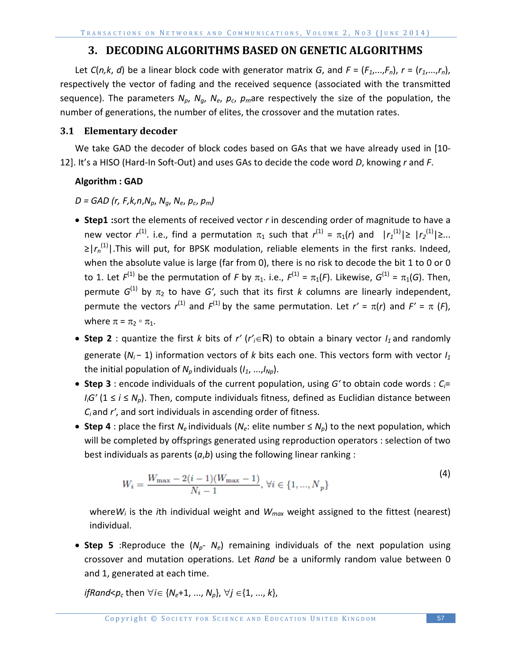# **3. DECODING ALGORITHMS BASED ON GENETIC ALGORITHMS**

Let *C*(*n*,*k*, *d*) be a linear block code with generator matrix *G*, and  $F = (F_1, ..., F_n)$ ,  $r = (r_1, ..., r_n)$ , respectively the vector of fading and the received sequence (associated with the transmitted sequence). The parameters  $N_{p}$ ,  $N_{q}$ ,  $N_{e}$ ,  $p_{c}$ ,  $p_{m}$ are respectively the size of the population, the number of generations, the number of elites, the crossover and the mutation rates.

## **3.1 Elementary decoder**

We take GAD the decoder of block codes based on GAs that we have already used in [10- 12]. It's a HISO (Hard-In Soft-Out) and uses GAs to decide the code word *D*, knowing *r* and *F*.

## **Algorithm : GAD**

*D = GAD (r, F,k,n*,*Np*, *Ng*, *Ne*, *pc*, *pm)*

- **Step1 :**sort the elements of received vector *r* in descending order of magnitude to have a new vector *r*<sup>(1)</sup>. i.e., find a permutation π<sub>1</sub> such that *r*<sup>(1)</sup> = π<sub>1</sub>(*r*) and |*r*<sub>1</sub><sup>(1)</sup>|≥ |*r*<sub>2</sub><sup>(1)</sup>|≥... ≥|r<sub>n</sub><sup>(1)</sup>|.This will put, for BPSK modulation, reliable elements in the first ranks. Indeed, when the absolute value is large (far from 0), there is no risk to decode the bit 1 to 0 or 0 to 1. Let  $F^{(1)}$  be the permutation of *F* by  $\pi_1$ . i.e.,  $F^{(1)} = \pi_1(F)$ . Likewise,  $G^{(1)} = \pi_1(G)$ . Then, permute  $G^{(1)}$  by  $\pi_2$  to have G', such that its first *k* columns are linearly independent, permute the vectors  $r^{(1)}$  and  $F^{(1)}$  by the same permutation. Let  $r' = \pi(r)$  and  $F' = \pi$  (*F*), where  $\pi = \pi_2 \circ \pi_1$ .
- Step 2 : quantize the first *k* bits of *r'* (*r'<sub>i</sub>*∈R) to obtain a binary vector *I*<sub>1</sub> and randomly generate (*N<sub>i</sub>* − 1) information vectors of *k* bits each one. This vectors form with vector *I*<sub>1</sub> the initial population of  $N_p$  individuals  $(I_1, ..., I_{N_p})$ .
- **Step 3** : encode individuals of the current population, using *G′* to obtain code words : *Ci*= *I<sub>i</sub>G'* (1 ≤ *i* ≤ *N<sub>p</sub>*). Then, compute individuals fitness, defined as Euclidian distance between *Ci* and *r′*, and sort individuals in ascending order of fitness.
- **Step 4** : place the first  $N_e$  individuals ( $N_e$ : elite number  $\leq N_p$ ) to the next population, which will be completed by offsprings generated using reproduction operators : selection of two best individuals as parents (*a*,*b*) using the following linear ranking :

$$
W_i = \frac{W_{\text{max}} - 2(i-1)(W_{\text{max}} - 1)}{N_i - 1}, \ \forall i \in \{1, ..., N_p\}
$$
 (4)

where $W_i$  is the *i*th individual weight and  $W_{max}$  weight assigned to the fittest (nearest) individual.

• **Step 5** :Reproduce the  $(N_p - N_e)$  remaining individuals of the next population using crossover and mutation operations. Let *Rand* be a uniformly random value between 0 and 1, generated at each time.

*ifRand<p<sub>c</sub>* then  $\forall i \in \{N_e+1, ..., N_p\}, \forall j \in \{1, ..., k\},$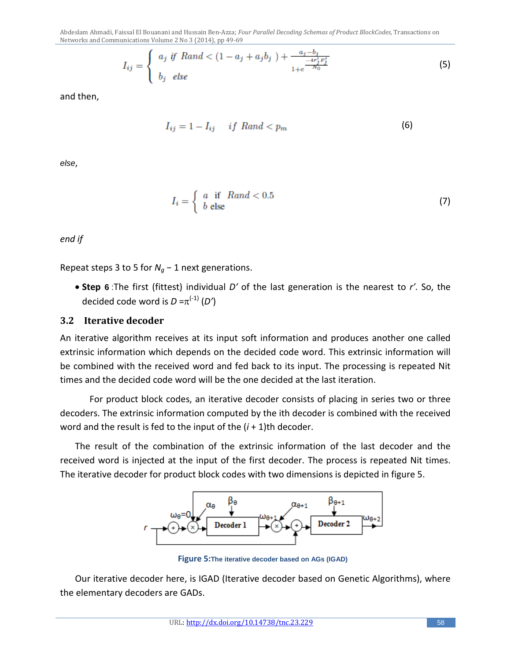Abdeslam Ahmadi, Faissal El Bouanani and Hussain Ben-Azza; *Four Parallel Decoding Schemas of Product BlockCodes,* Transactions on Networks and Communications Volume 2 No 3 (2014), pp 49-69

$$
I_{ij} = \begin{cases} a_j \text{ if } Rand < (1 - a_j + a_j b_j) + \frac{a_j - b_j}{1 + e^{\frac{-4r'_j F'_j}{N_0}}} \\ b_j \text{ else} \end{cases}
$$
(5)

and then,

$$
I_{ij} = 1 - I_{ij} \quad \text{if } Rand < p_m \tag{6}
$$

*else*,

$$
I_i = \begin{cases} a & \text{if } \quad Rand < 0.5 \\ b & \text{else} \end{cases} \tag{7}
$$

*end if*

Repeat steps 3 to 5 for  $N_q$  – 1 next generations.

• **Step 6** :The first (fittest) individual *D′* of the last generation is the nearest to *r′*. So, the decided code word is  $D = \pi^{(-1)} (D')$ 

#### **3.2 Iterative decoder**

An iterative algorithm receives at its input soft information and produces another one called extrinsic information which depends on the decided code word. This extrinsic information will be combined with the received word and fed back to its input. The processing is repeated Nit times and the decided code word will be the one decided at the last iteration.

For product block codes, an iterative decoder consists of placing in series two or three decoders. The extrinsic information computed by the ith decoder is combined with the received word and the result is fed to the input of the (*i* + 1)th decoder.

The result of the combination of the extrinsic information of the last decoder and the received word is injected at the input of the first decoder. The process is repeated Nit times. The iterative decoder for product block codes with two dimensions is depicted in figure 5.



**Figure 5:The iterative decoder based on AGs (IGAD)**

Our iterative decoder here, is IGAD (Iterative decoder based on Genetic Algorithms), where the elementary decoders are GADs.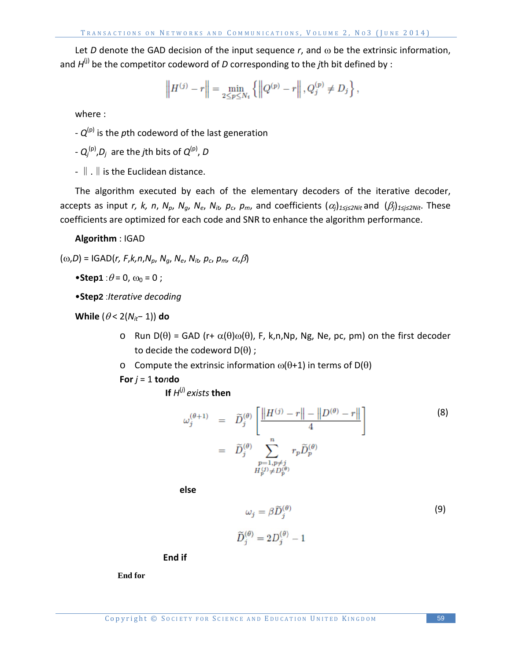Let *D* denote the GAD decision of the input sequence *r*, and ω be the extrinsic information, and  $H^{(j)}$  be the competitor codeword of *D* corresponding to the *j*th bit defined by :

$$
\left\| H^{(j)} - r \right\| = \min_{2 \le p \le N_t} \left\{ \left\| Q^{(p)} - r \right\|, Q_j^{(p)} \ne D_j \right\},\
$$

where :

-  $Q^{(p)}$  is the *p*th codeword of the last generation

- *Qj* (p),*Dj* are the *j*th bits of *Q*(p), *D*

-  $\parallel$  .  $\parallel$  is the Euclidean distance.

The algorithm executed by each of the elementary decoders of the iterative decoder, accepts as input *r, k, n, N<sub>p</sub>, N<sub>q</sub>, N<sub>e</sub>, N<sub>it</sub>, p<sub>c</sub>, p<sub>m</sub>, and coefficients*  $(\alpha_j)_{1 \leq j \leq 2Nit}$  *and*  $(\beta_j)_{1 \leq j \leq 2Nit}$ *. These* coefficients are optimized for each code and SNR to enhance the algorithm performance.

**Algorithm** : IGAD

 $(\omega, D)$  = IGAD(*r*, *F*,*k*,*n*,*N*<sub>*o*</sub>, *N*<sub>*a*</sub>, *N*<sub>*e*</sub>, *N*<sub>*it*</sub>, *p<sub>c</sub>*, *p<sub>m</sub>*,  $\alpha$ , $\beta$ )

•**Step1** : $\theta$  = 0,  $\omega_0$  = 0;

•**Step2** :*Iterative decoding*

**While** (<sup>θ</sup> < 2(*Nit*− 1)) **do**

- o Run D(θ) = GAD (r+ α(θ)ω(θ), F, k,n,Np, Ng, Ne, pc, pm) on the first decoder to decide the codeword  $D(\theta)$ ;
- o Compute the extrinsic information ω(θ+1) in terms of D(θ)

**For**  $j = 1$  **to** $n$ **do** 

**If**  $H^{(j)}$  *exists* **then** 

$$
\omega_j^{(\theta+1)} = \widetilde{D}_j^{(\theta)} \left[ \frac{\|H^{(j)} - r\| - \|D^{(\theta)} - r\|}{4} \right]
$$
\n
$$
= \widetilde{D}_j^{(\theta)} \sum_{\substack{p=1, p \neq j \\ H_p^{(j)} \neq D_p^{(\theta)}}} r_p \widetilde{D}_p^{(\theta)}
$$
\n(8)

**else**

$$
\omega_j = \beta \widetilde{D}_j^{(\theta)} \tag{9}
$$

$$
\widetilde{D}_j^{(\theta)} = 2D_j^{(\theta)} - 1
$$

**End if**

**End for**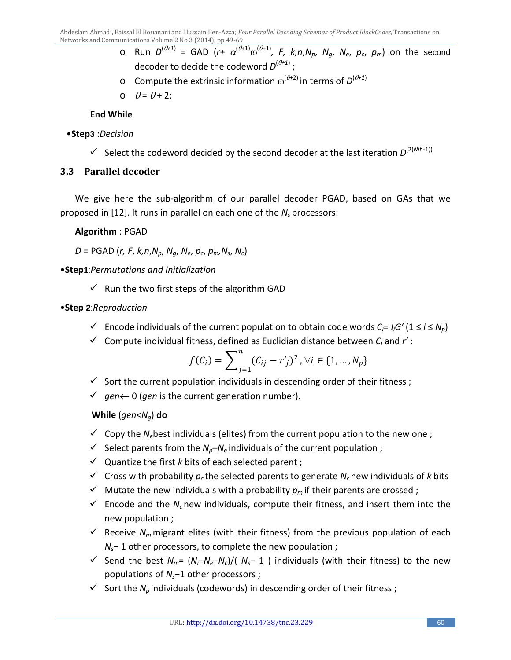- o Run *D*(θ*+1*) = GAD (*r+* α(θ+1)ω(θ+1)*, F, k,n*,*Np*, *Ng*, *Ne*, *pc*, *pm*) on the second decoder to decide the codeword  $D^{(\theta+1)}$  ;
- $\circ$  Compute the extrinsic information  $ω^{(θ+2)}$  in terms of  $D^{(θ+1)}$
- o  $\theta = \theta + 2$ ;

## **End While**

#### •**Step3** :*Decision*

Select the codeword decided by the second decoder at the last iteration  $D^{(2(Nit-1))}$ 

## **3.3 Parallel decoder**

We give here the sub-algorithm of our parallel decoder PGAD, based on GAs that we proposed in [12]. It runs in parallel on each one of the *N<sub>s</sub>* processors:

**Algorithm** : PGAD

*D* = PGAD (*r, F*, *k,n*,*Np*, *Ng*, *Ne*, *pc*, *pm,Ns*, *Nc*)

•**Step1**:*Permutations and Initialization*

- $\checkmark$  Run the two first steps of the algorithm GAD
- •**Step 2**:*Reproduction*
	- $\checkmark$  Encode individuals of the current population to obtain code words *C<sub>i</sub>*= *I<sub>i</sub>G'* (1 ≤ *i* ≤ *N<sub>p</sub>*)
	- $\checkmark$  Compute individual fitness, defined as Euclidian distance between  $C_i$  and  $r'$ :

$$
f(C_i) = \sum_{j=1}^{n} (C_{ij} - r'_j)^2, \forall i \in \{1, ..., N_p\}
$$

- $\checkmark$  Sort the current population individuals in descending order of their fitness;
- *gen*← 0 (*gen* is the current generation number).

**While** (*gen*<*Ng*) **do**

- $\checkmark$  Copy the *N*<sub>e</sub>best individuals (elites) from the current population to the new one;
- Select parents from the  $N_p N_e$  individuals of the current population ;
- $\checkmark$  Quantize the first *k* bits of each selected parent ;
- $\checkmark$  Cross with probability  $p_c$  the selected parents to generate  $N_c$  new individuals of *k* bits
- $\checkmark$  Mutate the new individuals with a probability  $p_m$  if their parents are crossed;
- $\checkmark$  Encode and the  $N_c$  new individuals, compute their fitness, and insert them into the new population ;
- $\checkmark$  Receive  $N_m$  migrant elites (with their fitness) from the previous population of each *N<sub>s</sub>*− 1 other processors, to complete the new population ;
- Send the best *Nm*= (*Ni*–*Ne*–*Nc*)/( *Ns*− 1 ) individuals (with their fitness) to the new populations of *Ns*−1 other processors ;
- $\checkmark$  Sort the *N*<sub>p</sub> individuals (codewords) in descending order of their fitness;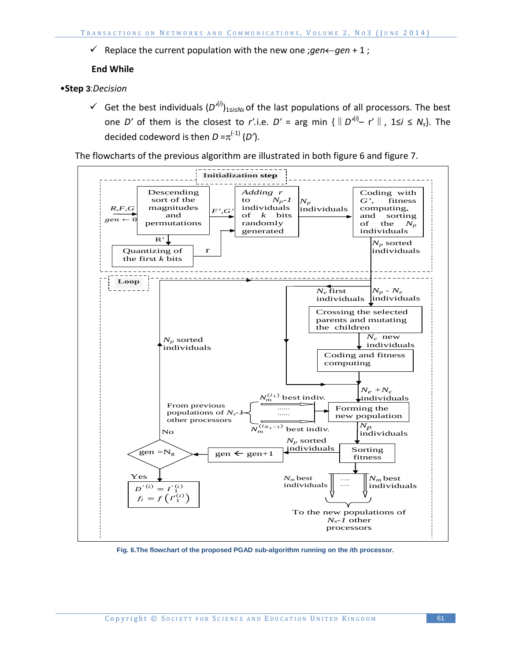Replace the current population with the new one ;*gen*←*gen* + 1 ;

#### **End While**

- •**Step 3**:*Decision*
	- Get the best individuals (*D'*(*i*) )1≤*i*≤*Ns* of the last populations of all processors. The best one *D'* of them is the closest to *r'*.i.e. *D'* = arg min { $\parallel D'^{(i)}$  - r' $\parallel$ , 1≤*i* ≤ *N<sub>s</sub>*}. The decided codeword is then  $D = \pi^{(-1)}(D')$ .

The flowcharts of the previous algorithm are illustrated in both figure 6 and figure 7.



**Fig. 6.The flowchart of the proposed PGAD sub-algorithm running on the** *i***th processor.**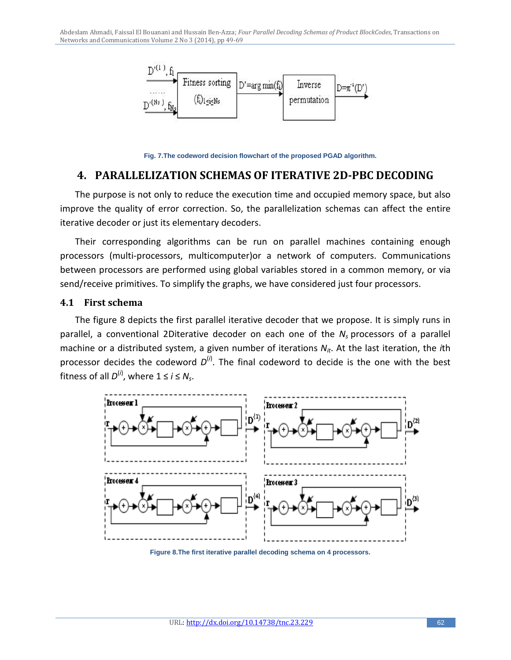

**Fig. 7.The codeword decision flowchart of the proposed PGAD algorithm.**

# **4. PARALLELIZATION SCHEMAS OF ITERATIVE 2D-PBC DECODING**

The purpose is not only to reduce the execution time and occupied memory space, but also improve the quality of error correction. So, the parallelization schemas can affect the entire iterative decoder or just its elementary decoders.

Their corresponding algorithms can be run on parallel machines containing enough processors (multi-processors, multicomputer)or a network of computers. Communications between processors are performed using global variables stored in a common memory, or via send/receive primitives. To simplify the graphs, we have considered just four processors.

#### **4.1 First schema**

The figure 8 depicts the first parallel iterative decoder that we propose. It is simply runs in parallel, a conventional 2Diterative decoder on each one of the *Ns* processors of a parallel machine or a distributed system, a given number of iterations  $N_{it}$ . At the last iteration, the *i*th processor decides the codeword  $D^{(i)}$ . The final codeword to decide is the one with the best fitness of all  $D^{(i)}$ , where  $1 \le i \le N_s$ .



**Figure 8.The first iterative parallel decoding schema on 4 processors.**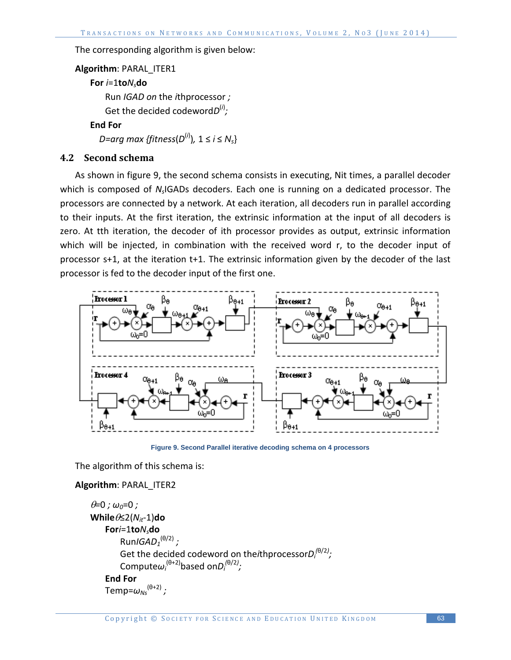The corresponding algorithm is given below:

```
Algorithm: PARAL_ITER1
   For i=1toNsdo
       Run IGAD on the ithprocessor ;
       Get the decided codewordD(i)
;
   End For
    D=arg max {fitness(D(i)
), 1 ≤ i ≤ Ns}
```
## **4.2 Second schema**

As shown in figure 9, the second schema consists in executing, Nit times, a parallel decoder which is composed of *Ns*IGADs decoders. Each one is running on a dedicated processor. The processors are connected by a network. At each iteration, all decoders run in parallel according to their inputs. At the first iteration, the extrinsic information at the input of all decoders is zero. At tth iteration, the decoder of ith processor provides as output, extrinsic information which will be injected, in combination with the received word r, to the decoder input of processor s+1, at the iteration t+1. The extrinsic information given by the decoder of the last processor is fed to the decoder input of the first one.



**Figure 9. Second Parallel iterative decoding schema on 4 processors**

The algorithm of this schema is:

#### **Algorithm**: PARAL\_ITER2

```
θ=0 ; ω0=0 ; 
Whileθ≤2(Nit-1)do
   Fori=1toNsdo
        RunIGAD1
(θ/2) ;
        Get the decided codeword on theithprocessorDi
(θ/2)
;
        Computeωi
(θ+2)based onDi
(θ/2)
;
   End For
    Temp=ωNs
(θ+2) ;
```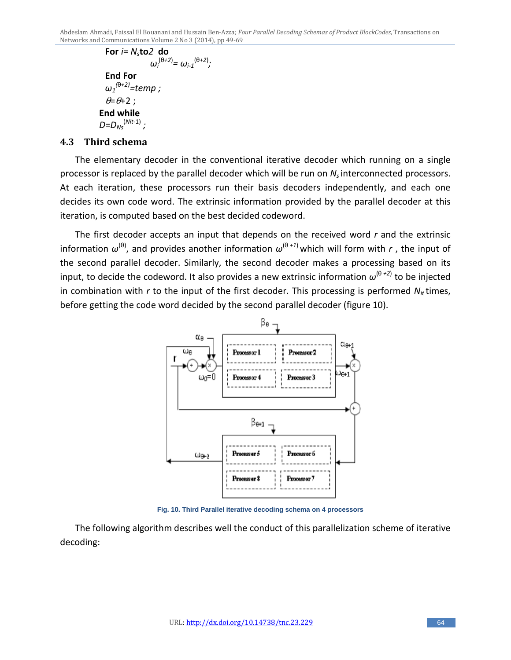```
For i= Nsto2 do
                  ωi
(θ+2)
= ωi-1
(θ+2)
;
    End For
    ω1
(θ+2)=temp ;
    \theta=\theta+2;
   End while
 D=DNs
(Nit-1) ;
```
## **4.3 Third schema**

The elementary decoder in the conventional iterative decoder which running on a single processor is replaced by the parallel decoder which will be run on *Ns* interconnected processors. At each iteration, these processors run their basis decoders independently, and each one decides its own code word. The extrinsic information provided by the parallel decoder at this iteration, is computed based on the best decided codeword.

The first decoder accepts an input that depends on the received word *r* and the extrinsic information  $\omega^{(\theta)}$ , and provides another information  $\omega^{(\theta I I)}$  which will form with *r*, the input of the second parallel decoder. Similarly, the second decoder makes a processing based on its input, to decide the codeword. It also provides a new extrinsic information  $\omega^{(\theta\;+2)}$  to be injected in combination with *r* to the input of the first decoder. This processing is performed *Nit* times, before getting the code word decided by the second parallel decoder (figure 10).



**Fig. 10. Third Parallel iterative decoding schema on 4 processors**

The following algorithm describes well the conduct of this parallelization scheme of iterative decoding: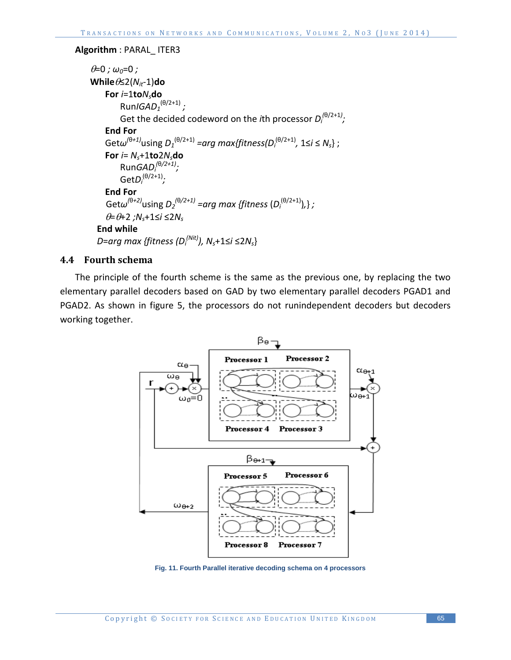#### **Algorithm** : PARAL\_ ITER3

```
\theta=0; \omega<sub>0</sub>=0;
Whileθ≤2(Nit-1)do
    For i=1toNsdo
        RunIGAD1
(θ/2+1) ;
        Get the decided codeword on the ith processor D^{(\theta/2+1)}_i;End For
    Getω(θ+1)using D1
(θ/2+1) =arg max{fitness(Di
(θ/2+1), 1≤i ≤ Ns} ;
    For i = N_s + 1to2N_sdo
        RunGADi
(θ/2+1);
        GetDi
(θ/2+1);
    End For
 Getω(θ+2)using D2
(θ/2+1) =arg max {fitness (Di
(θ/2+1)),} ;
    θ=θ+2 ;Ns+1≤i ≤2Ns
   End while
 D=arg max {fitness (Di
(Nit)), Ns+1≤i ≤2Ns}
```
#### **4.4 Fourth schema**

The principle of the fourth scheme is the same as the previous one, by replacing the two elementary parallel decoders based on GAD by two elementary parallel decoders PGAD1 and PGAD2. As shown in figure 5, the processors do not runindependent decoders but decoders working together.



**Fig. 11. Fourth Parallel iterative decoding schema on 4 processors**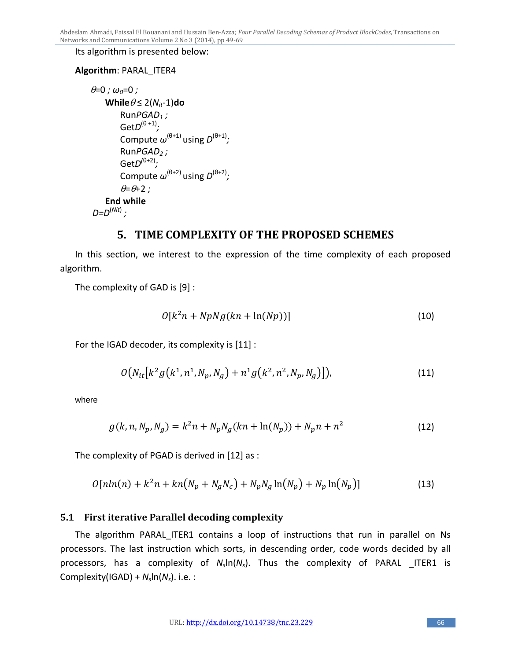Its algorithm is presented below:

#### **Algorithm**: PARAL\_ITER4

```
\theta=0; \omega<sub>0</sub>=0;
      Whiteθ ≤ 2(N<sub>it</sub>-1)do
            RunPGAD1 ;
            GetD(θ +1);
            Compute \omega^{(\theta+1)} using D^{(\theta+1)};
            RunPGAD<sub>2</sub>;
            \text{GetD}^{(\theta+2)};
            Compute \omega^{(\theta+2)} using D^{(\theta+2)};
             \theta = \theta + 2;
      End while
 D=D(Nit)
;
```
# **5. TIME COMPLEXITY OF THE PROPOSED SCHEMES**

In this section, we interest to the expression of the time complexity of each proposed algorithm.

The complexity of GAD is [9] :

$$
O[k^2n + NpNg(kn + \ln(Np))]
$$
\n(10)

For the IGAD decoder, its complexity is [11] :

$$
O(N_{it}[k^2g(k^1,n^1,N_p,N_g)+n^1g(k^2,n^2,N_p,N_g)]),
$$
\n(11)

where

$$
g(k, n, N_p, N_g) = k^2 n + N_p N_g(kn + \ln(N_p)) + N_p n + n^2
$$
\n(12)

The complexity of PGAD is derived in [12] as :

$$
O[nln(n) + k^{2}n + kn(N_{p} + N_{g}N_{c}) + N_{p}N_{g}ln(N_{p}) + N_{p}ln(N_{p})]
$$
\n(13)

## **5.1 First iterative Parallel decoding complexity**

The algorithm PARAL\_ITER1 contains a loop of instructions that run in parallel on Ns processors. The last instruction which sorts, in descending order, code words decided by all processors, has a complexity of *Ns*ln(*Ns*). Thus the complexity of PARAL \_ITER1 is Complexity(IGAD) + *Ns*ln(*Ns*). i.e. :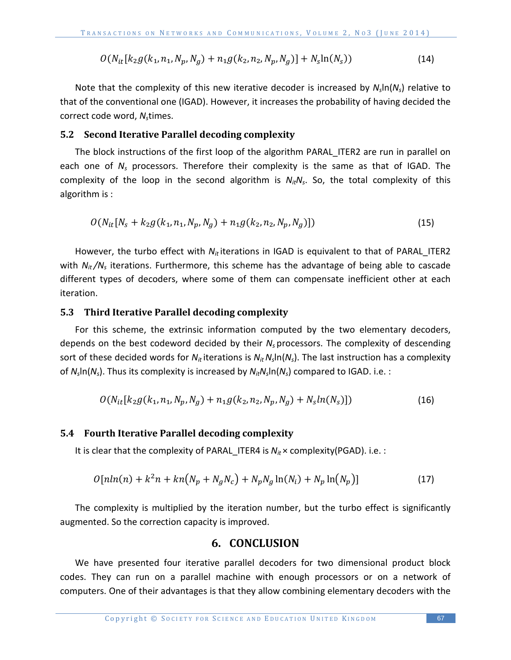$$
O(N_{it}[k_2g(k_1,n_1,N_p,N_g) + n_1g(k_2,n_2,N_p,N_g)] + N_s\ln(N_s))
$$
\n(14)

Note that the complexity of this new iterative decoder is increased by *Ns*ln(*Ns*) relative to that of the conventional one (IGAD). However, it increases the probability of having decided the correct code word, N<sub>s</sub>times.

#### **5.2 Second Iterative Parallel decoding complexity**

The block instructions of the first loop of the algorithm PARAL ITER2 are run in parallel on each one of *Ns* processors. Therefore their complexity is the same as that of IGAD. The complexity of the loop in the second algorithm is  $N_{it}N_{s}$ . So, the total complexity of this algorithm is :

$$
O(N_{it}[N_s + k_2 g(k_1, n_1, N_p, N_g) + n_1 g(k_2, n_2, N_p, N_g)])
$$
\n(15)

However, the turbo effect with  $N_{it}$  iterations in IGAD is equivalent to that of PARAL ITER2 with  $N_{it}/N_s$  iterations. Furthermore, this scheme has the advantage of being able to cascade different types of decoders, where some of them can compensate inefficient other at each iteration.

#### **5.3 Third Iterative Parallel decoding complexity**

For this scheme, the extrinsic information computed by the two elementary decoders, depends on the best codeword decided by their *Ns* processors. The complexity of descending sort of these decided words for  $N_{it}$  iterations is  $N_{it}N_s\ln(N_s)$ . The last instruction has a complexity of *Ns*ln(*Ns*). Thus its complexity is increased by *NitNs*ln(*Ns*) compared to IGAD. i.e. :

$$
O(N_{it}[k_2g(k_1,n_1,N_p,N_g) + n_1g(k_2,n_2,N_p,N_g) + N_sln(N_s)])
$$
\n(16)

#### **5.4 Fourth Iterative Parallel decoding complexity**

It is clear that the complexity of PARAL ITER4 is  $N_i \times$  complexity(PGAD). i.e. :

$$
O[nln(n) + k^2n + kn(N_p + N_gN_c) + N_pN_g \ln(N_i) + N_p \ln(N_p)]
$$
\n(17)

The complexity is multiplied by the iteration number, but the turbo effect is significantly augmented. So the correction capacity is improved.

#### **6. CONCLUSION**

We have presented four iterative parallel decoders for two dimensional product block codes. They can run on a parallel machine with enough processors or on a network of computers. One of their advantages is that they allow combining elementary decoders with the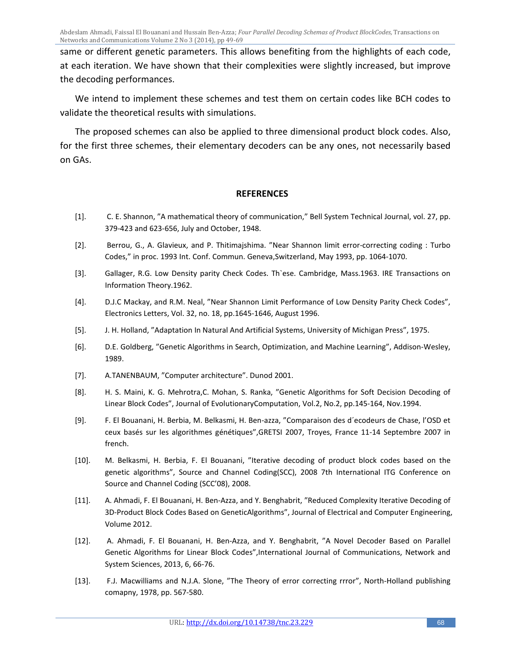same or different genetic parameters. This allows benefiting from the highlights of each code, at each iteration. We have shown that their complexities were slightly increased, but improve the decoding performances.

We intend to implement these schemes and test them on certain codes like BCH codes to validate the theoretical results with simulations.

The proposed schemes can also be applied to three dimensional product block codes. Also, for the first three schemes, their elementary decoders can be any ones, not necessarily based on GAs.

#### **REFERENCES**

- [1]. C. E. Shannon, "A mathematical theory of communication," Bell System Technical Journal, vol. 27, pp. 379-423 and 623-656, July and October, 1948.
- [2]. Berrou, G., A. Glavieux, and P. Thitimajshima. "Near Shannon limit error-correcting coding : Turbo Codes," in proc. 1993 Int. Conf. Commun. Geneva,Switzerland, May 1993, pp. 1064-1070.
- [3]. Gallager, R.G. Low Density parity Check Codes. Th`ese. Cambridge, Mass.1963. IRE Transactions on Information Theory.1962.
- [4]. D.J.C Mackay, and R.M. Neal, "Near Shannon Limit Performance of Low Density Parity Check Codes", Electronics Letters, Vol. 32, no. 18, pp.1645-1646, August 1996.
- [5]. J. H. Holland, "Adaptation In Natural And Artificial Systems, University of Michigan Press", 1975.
- [6]. D.E. Goldberg, "Genetic Algorithms in Search, Optimization, and Machine Learning", Addison-Wesley, 1989.
- [7]. A.TANENBAUM, "Computer architecture". Dunod 2001.
- [8]. H. S. Maini, K. G. Mehrotra,C. Mohan, S. Ranka, "Genetic Algorithms for Soft Decision Decoding of Linear Block Codes", Journal of EvolutionaryComputation, Vol.2, No.2, pp.145-164, Nov.1994.
- [9]. F. El Bouanani, H. Berbia, M. Belkasmi, H. Ben-azza, "Comparaison des d´ecodeurs de Chase, l'OSD et ceux basés sur les algorithmes génétiques",GRETSI 2007, Troyes, France 11-14 Septembre 2007 in french.
- [10]. M. Belkasmi, H. Berbia, F. El Bouanani, "Iterative decoding of product block codes based on the genetic algorithms", Source and Channel Coding(SCC), 2008 7th International ITG Conference on Source and Channel Coding (SCC'08), 2008.
- [11]. A. Ahmadi, F. El Bouanani, H. Ben-Azza, and Y. Benghabrit, "Reduced Complexity Iterative Decoding of 3D-Product Block Codes Based on GeneticAlgorithms", Journal of Electrical and Computer Engineering, Volume 2012.
- [12]. A. Ahmadi, F. El Bouanani, H. Ben-Azza, and Y. Benghabrit, "A Novel Decoder Based on Parallel Genetic Algorithms for Linear Block Codes",International Journal of Communications, Network and System Sciences, 2013, 6, 66-76.
- [13]. F.J. Macwilliams and N.J.A. Slone, "The Theory of error correcting rrror", North-Holland publishing comapny, 1978, pp. 567-580.